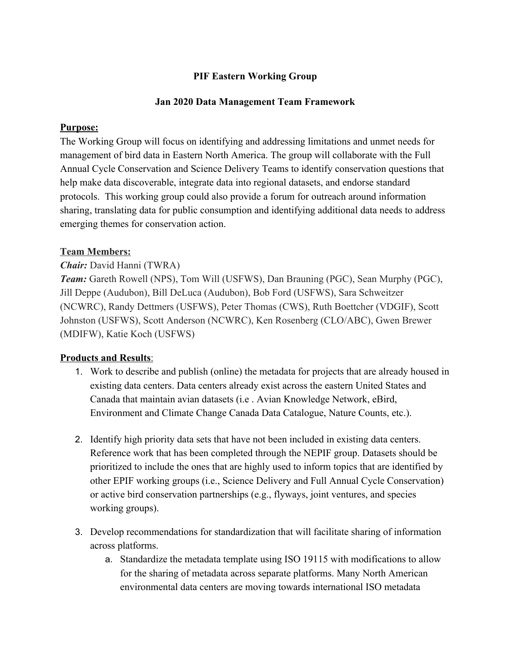## **PIF Eastern Working Group**

#### **Jan 2020 Data Management Team Framework**

#### **Purpose:**

The Working Group will focus on identifying and addressing limitations and unmet needs for management of bird data in Eastern North America. The group will collaborate with the Full Annual Cycle Conservation and Science Delivery Teams to identify conservation questions that help make data discoverable, integrate data into regional datasets, and endorse standard protocols. This working group could also provide a forum for outreach around information sharing, translating data for public consumption and identifying additional data needs to address emerging themes for conservation action.

### **Team Members:**

### *Chair:* David Hanni (TWRA)

*Team:* Gareth Rowell (NPS), Tom Will (USFWS), Dan Brauning (PGC), Sean Murphy (PGC), Jill Deppe (Audubon), Bill DeLuca (Audubon), Bob Ford (USFWS), Sara Schweitzer (NCWRC), Randy Dettmers (USFWS), Peter Thomas (CWS), Ruth Boettcher (VDGIF), Scott Johnston (USFWS), Scott Anderson (NCWRC), Ken Rosenberg (CLO/ABC), Gwen Brewer (MDIFW), Katie Koch (USFWS)

### **Products and Results**:

- 1. Work to describe and publish (online) the metadata for projects that are already housed in existing data centers. Data centers already exist across the eastern United States and Canada that maintain avian datasets (i.e . Avian Knowledge Network, eBird, Environment and Climate Change Canada Data Catalogue, Nature Counts, etc.).
- 2. Identify high priority data sets that have not been included in existing data centers. Reference work that has been completed through the NEPIF group. Datasets should be prioritized to include the ones that are highly used to inform topics that are identified by other EPIF working groups (i.e., Science Delivery and Full Annual Cycle Conservation) or active bird conservation partnerships (e.g., flyways, joint ventures, and species working groups).
- 3. Develop recommendations for standardization that will facilitate sharing of information across platforms.
	- a. Standardize the metadata template using ISO 19115 with modifications to allow for the sharing of metadata across separate platforms. Many North American environmental data centers are moving towards international ISO metadata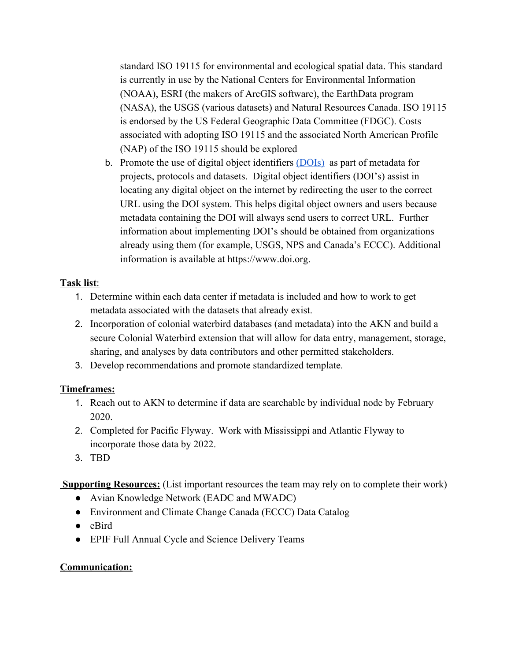standard ISO 19115 for environmental and ecological spatial data. This standard is currently in use by the National Centers for Environmental Information (NOAA), ESRI (the makers of ArcGIS software), the EarthData program (NASA), the USGS (various datasets) and Natural Resources Canada. ISO 19115 is endorsed by the US Federal Geographic Data Committee (FDGC). Costs associated with adopting ISO 19115 and the associated North American Profile (NAP) of the ISO 19115 should be explored

b. Promote the use of digital object identifiers [\(DOIs\)](https://www.doi.org/) as part of metadata for projects, protocols and datasets.Digital object identifiers (DOI's) assist in locating any digital object on the internet by redirecting the user to the correct URL using the DOI system. This helps digital object owners and users because metadata containing the DOI will always send users to correct URL. Further information about implementing DOI's should be obtained from organizations already using them (for example, USGS, NPS and Canada's ECCC). Additional information is available at https://www.doi.org.

# **Task list**:

- 1. Determine within each data center if metadata is included and how to work to get metadata associated with the datasets that already exist.
- 2. Incorporation of colonial waterbird databases (and metadata) into the AKN and build a secure Colonial Waterbird extension that will allow for data entry, management, storage, sharing, and analyses by data contributors and other permitted stakeholders.
- 3. Develop recommendations and promote standardized template.

# **Timeframes:**

- 1. Reach out to AKN to determine if data are searchable by individual node by February 2020.
- 2. Completed for Pacific Flyway. Work with Mississippi and Atlantic Flyway to incorporate those data by 2022.
- 3. TBD

**Supporting Resources:** (List important resources the team may rely on to complete their work)

- Avian Knowledge Network (EADC and MWADC)
- Environment and Climate Change Canada (ECCC) Data Catalog
- eBird
- EPIF Full Annual Cycle and Science Delivery Teams

# **Communication:**